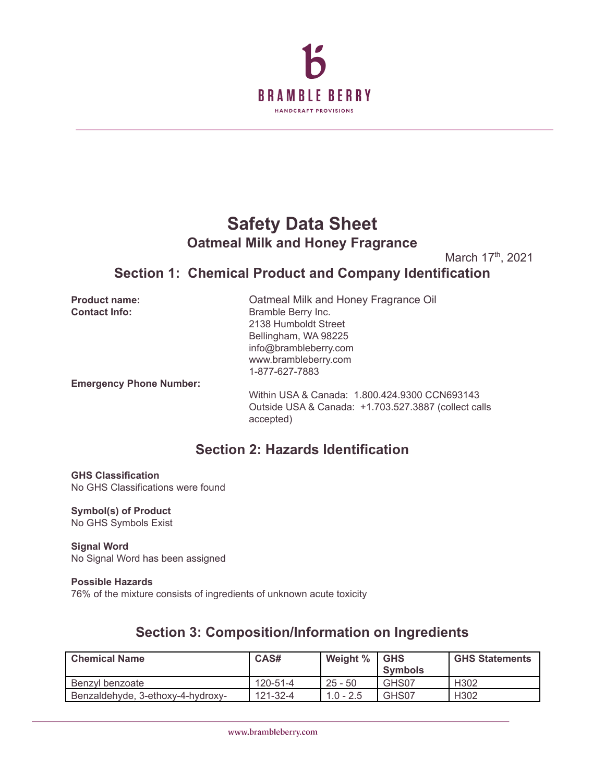

# **Safety Data Sheet Oatmeal Milk and Honey Fragrance**

March 17<sup>th</sup>, 2021

## **Section 1: Chemical Product and Company Identification**

**Product name:** Oatmeal Milk and Honey Fragrance Oil **Contact Info:** Bramble Berry Inc. 2138 Humboldt Street Bellingham, WA 98225 info@brambleberry.com www.brambleberry.com 1-877-627-7883 **Emergency Phone Number:** Within USA & Canada: 1.800.424.9300 CCN693143 Outside USA & Canada: +1.703.527.3887 (collect calls accepted) **Section 2: Hazards Identification**

**GHS Classification** No GHS Classifications were found

**Symbol(s) of Product** No GHS Symbols Exist

**Signal Word** No Signal Word has been assigned

### **Possible Hazards** 76% of the mixture consists of ingredients of unknown acute toxicity

# **Section 3: Composition/Information on Ingredients**

| <b>Chemical Name</b>              | CAS#           | Weight %    | <b>GHS</b><br><b>Symbols</b> | <b>GHS Statements</b> |
|-----------------------------------|----------------|-------------|------------------------------|-----------------------|
| Benzvl benzoate                   | 120-51-4       | $25 - 50$   | GHS07                        | H <sub>302</sub>      |
| Benzaldehyde, 3-ethoxy-4-hydroxy- | $121 - 32 - 4$ | $1.0 - 2.5$ | GHS07                        | H <sub>302</sub>      |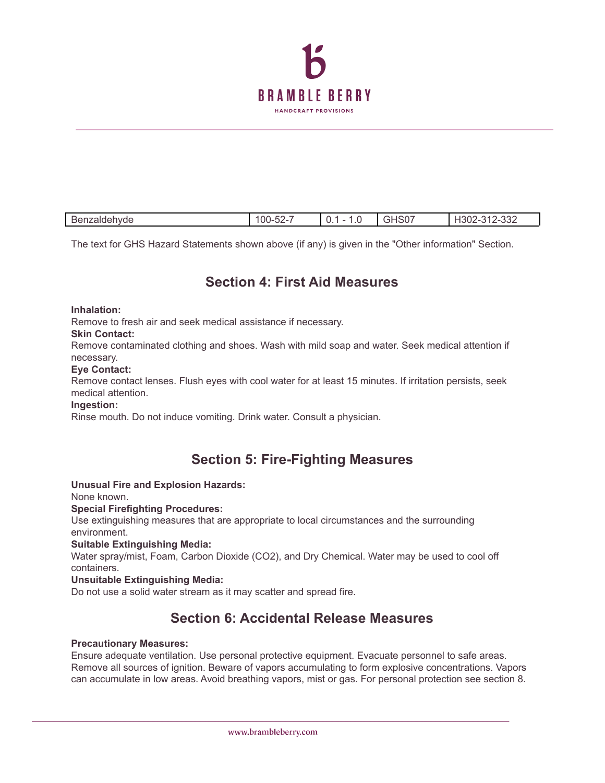

| <b>Denzaldehimar</b> | 00-<br>-22 | $\sim$<br>$\cdots$ | 222<br>ےככ-<br><b>IJU</b> |
|----------------------|------------|--------------------|---------------------------|
|                      |            |                    |                           |

The text for GHS Hazard Statements shown above (if any) is given in the "Other information" Section.

## **Section 4: First Aid Measures**

**Inhalation:**

Remove to fresh air and seek medical assistance if necessary.

### **Skin Contact:**

Remove contaminated clothing and shoes. Wash with mild soap and water. Seek medical attention if necessary.

#### **Eye Contact:**

Remove contact lenses. Flush eyes with cool water for at least 15 minutes. If irritation persists, seek medical attention.

### **Ingestion:**

Rinse mouth. Do not induce vomiting. Drink water. Consult a physician.

## **Section 5: Fire-Fighting Measures**

### **Unusual Fire and Explosion Hazards:**

None known.

### **Special Firefighting Procedures:**

Use extinguishing measures that are appropriate to local circumstances and the surrounding environment.

### **Suitable Extinguishing Media:**

Water spray/mist, Foam, Carbon Dioxide (CO2), and Dry Chemical. Water may be used to cool off containers.

### **Unsuitable Extinguishing Media:**

Do not use a solid water stream as it may scatter and spread fire.

## **Section 6: Accidental Release Measures**

#### **Precautionary Measures:**

Ensure adequate ventilation. Use personal protective equipment. Evacuate personnel to safe areas. Remove all sources of ignition. Beware of vapors accumulating to form explosive concentrations. Vapors can accumulate in low areas. Avoid breathing vapors, mist or gas. For personal protection see section 8.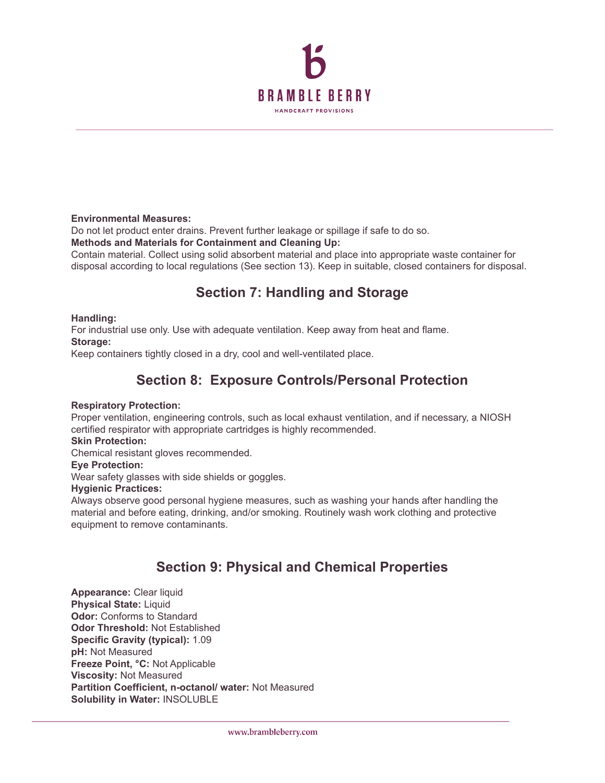

### **Environmental Measures:**

Do not let product enter drains. Prevent further leakage or spillage if safe to do so.

**Methods and Materials for Containment and Cleaning Up:**

Contain material. Collect using solid absorbent material and place into appropriate waste container for disposal according to local regulations (See section 13). Keep in suitable, closed containers for disposal.

## **Section 7: Handling and Storage**

### **Handling:**

For industrial use only. Use with adequate ventilation. Keep away from heat and flame. **Storage:**

Keep containers tightly closed in a dry, cool and well-ventilated place.

## **Section 8: Exposure Controls/Personal Protection**

### **Respiratory Protection:**

Proper ventilation, engineering controls, such as local exhaust ventilation, and if necessary, a NIOSH certified respirator with appropriate cartridges is highly recommended.

### **Skin Protection:**

Chemical resistant gloves recommended.

### **Eye Protection:**

Wear safety glasses with side shields or goggles.

### **Hygienic Practices:**

Always observe good personal hygiene measures, such as washing your hands after handling the material and before eating, drinking, and/or smoking. Routinely wash work clothing and protective equipment to remove contaminants.

## **Section 9: Physical and Chemical Properties**

**Appearance:** Clear liquid **Physical State:** Liquid **Odor:** Conforms to Standard **Odor Threshold:** Not Established **Specific Gravity (typical):** 1.09 **pH:** Not Measured **Freeze Point, °C:** Not Applicable **Viscosity:** Not Measured **Partition Coefficient, n-octanol/ water:** Not Measured **Solubility in Water:** INSOLUBLE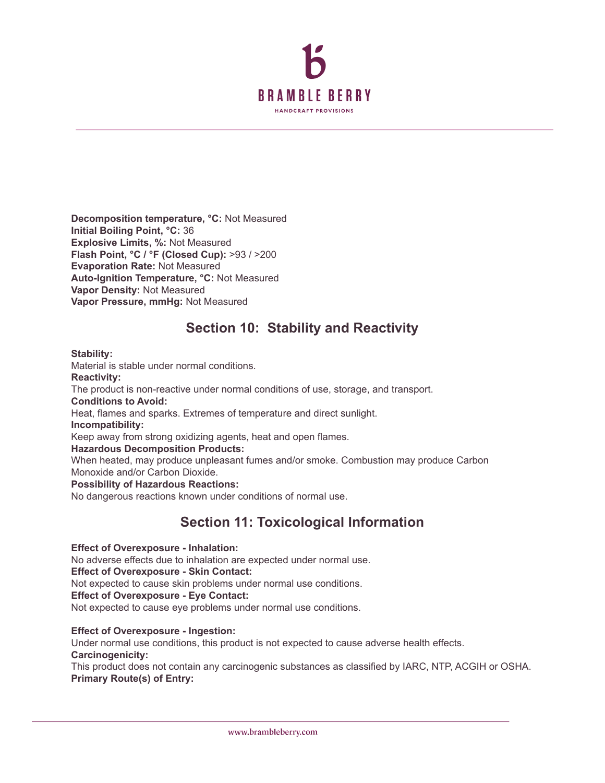

**Decomposition temperature, °C:** Not Measured **Initial Boiling Point, °C:** 36 **Explosive Limits, %:** Not Measured **Flash Point, °C / °F (Closed Cup):** >93 / >200 **Evaporation Rate:** Not Measured **Auto-Ignition Temperature, °C:** Not Measured **Vapor Density:** Not Measured **Vapor Pressure, mmHg:** Not Measured

## **Section 10: Stability and Reactivity**

**Stability:**

Material is stable under normal conditions. **Reactivity:** The product is non-reactive under normal conditions of use, storage, and transport. **Conditions to Avoid:** Heat, flames and sparks. Extremes of temperature and direct sunlight.

**Incompatibility:**

Keep away from strong oxidizing agents, heat and open flames.

**Hazardous Decomposition Products:**

When heated, may produce unpleasant fumes and/or smoke. Combustion may produce Carbon Monoxide and/or Carbon Dioxide.

**Possibility of Hazardous Reactions:**

No dangerous reactions known under conditions of normal use.

## **Section 11: Toxicological Information**

**Effect of Overexposure - Inhalation:**

No adverse effects due to inhalation are expected under normal use.

**Effect of Overexposure - Skin Contact:**

Not expected to cause skin problems under normal use conditions.

**Effect of Overexposure - Eye Contact:**

Not expected to cause eye problems under normal use conditions.

**Effect of Overexposure - Ingestion:**

Under normal use conditions, this product is not expected to cause adverse health effects. **Carcinogenicity:**

This product does not contain any carcinogenic substances as classified by IARC, NTP, ACGIH or OSHA. **Primary Route(s) of Entry:**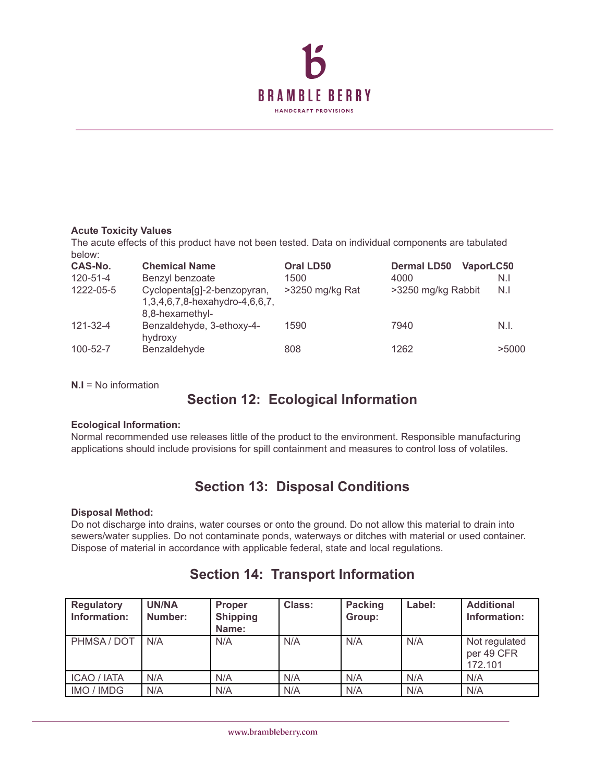

### **Acute Toxicity Values**

The acute effects of this product have not been tested. Data on individual components are tabulated below:

| CAS-No.   | <b>Chemical Name</b>                                                             | Oral LD50       | <b>Dermal LD50</b><br>VaporLC50 |       |
|-----------|----------------------------------------------------------------------------------|-----------------|---------------------------------|-------|
| 120-51-4  | Benzyl benzoate                                                                  | 1500            | 4000                            | N.I   |
| 1222-05-5 | Cyclopenta[g]-2-benzopyran,<br>1,3,4,6,7,8-hexahydro-4,6,6,7,<br>8,8-hexamethyl- | >3250 mg/kg Rat | >3250 mg/kg Rabbit              | N.I   |
| 121-32-4  | Benzaldehyde, 3-ethoxy-4-<br>hydroxy                                             | 1590            | 7940                            | N.I.  |
| 100-52-7  | Benzaldehyde                                                                     | 808             | 1262                            | >5000 |

**N.I** = No information

## **Section 12: Ecological Information**

### **Ecological Information:**

Normal recommended use releases little of the product to the environment. Responsible manufacturing applications should include provisions for spill containment and measures to control loss of volatiles.

## **Section 13: Disposal Conditions**

### **Disposal Method:**

Do not discharge into drains, water courses or onto the ground. Do not allow this material to drain into sewers/water supplies. Do not contaminate ponds, waterways or ditches with material or used container. Dispose of material in accordance with applicable federal, state and local regulations.

| Regulatory<br>Information: | <b>UN/NA</b><br>Number: | <b>Proper</b><br><b>Shipping</b><br>Name: | <b>Class:</b> | <b>Packing</b><br>Group: | Label: | <b>Additional</b><br>Information:      |
|----------------------------|-------------------------|-------------------------------------------|---------------|--------------------------|--------|----------------------------------------|
| PHMSA / DOT                | N/A                     | N/A                                       | N/A           | N/A                      | N/A    | Not regulated<br>per 49 CFR<br>172.101 |
| <b>ICAO</b> / IATA         | N/A                     | N/A                                       | N/A           | N/A                      | N/A    | N/A                                    |
| IMO / IMDG                 | N/A                     | N/A                                       | N/A           | N/A                      | N/A    | N/A                                    |

## **Section 14: Transport Information**